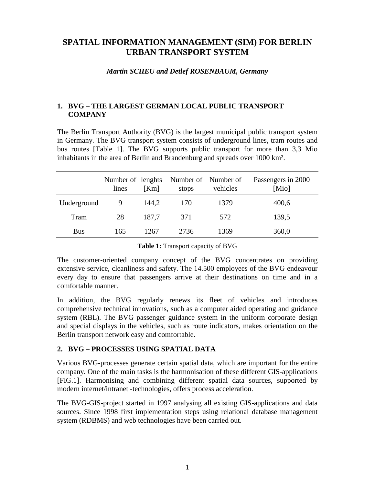# **SPATIAL INFORMATION MANAGEMENT (SIM) FOR BERLIN URBAN TRANSPORT SYSTEM**

#### *Martin SCHEU and Detlef ROSENBAUM, Germany*

### **1. BVG – THE LARGEST GERMAN LOCAL PUBLIC TRANSPORT COMPANY**

The Berlin Transport Authority (BVG) is the largest municipal public transport system in Germany. The BVG transport system consists of underground lines, tram routes and bus routes [Table 1]. The BVG supports public transport for more than 3,3 Mio inhabitants in the area of Berlin and Brandenburg and spreads over 1000 km².

|             | Number of lenghts<br>lines | [Km]  | Number of Number of<br>stops | vehicles | Passengers in 2000<br>[Mio] |
|-------------|----------------------------|-------|------------------------------|----------|-----------------------------|
| Underground |                            | 144,2 | 170                          | 1379     | 400,6                       |
| Tram        | 28                         | 187,7 | 371                          | 572      | 139,5                       |
| <b>Bus</b>  | 165                        | 1267  | 2736                         | 1369     | 360,0                       |

**Table 1:** Transport capacity of BVG

The customer-oriented company concept of the BVG concentrates on providing extensive service, cleanliness and safety. The 14.500 employees of the BVG endeavour every day to ensure that passengers arrive at their destinations on time and in a comfortable manner.

In addition, the BVG regularly renews its fleet of vehicles and introduces comprehensive technical innovations, such as a computer aided operating and guidance system (RBL). The BVG passenger guidance system in the uniform corporate design and special displays in the vehicles, such as route indicators, makes orientation on the Berlin transport network easy and comfortable.

### **2. BVG – PROCESSES USING SPATIAL DATA**

Various BVG-processes generate certain spatial data, which are important for the entire company. One of the main tasks is the harmonisation of these different GIS-applications [FIG.1]. Harmonising and combining different spatial data sources, supported by modern internet/intranet -technologies, offers process acceleration.

The BVG-GIS-project started in 1997 analysing all existing GIS-applications and data sources. Since 1998 first implementation steps using relational database management system (RDBMS) and web technologies have been carried out.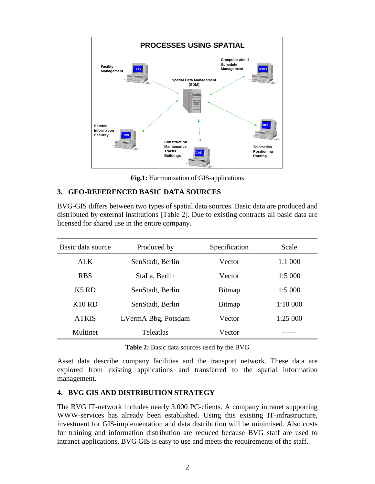

**Fig.1:** Harmonisation of GIS-applications

### **3. GEO-REFERENCED BASIC DATA SOURCES**

BVG-GIS differs between two types of spatial data sources. Basic data are produced and distributed by external institutions [Table 2]. Due to existing contracts all basic data are licensed for shared use in the entire company.

| Basic data source             | Produced by         | Specification | Scale    |
|-------------------------------|---------------------|---------------|----------|
| ALK <sup></sup>               | SenStadt, Berlin    | Vector        | 1:1 000  |
| <b>RBS</b>                    | StaLa, Berlin       | Vector        | 1:5000   |
| K <sub>5</sub> R <sub>D</sub> | SenStadt, Berlin    | Bitmap        | 1:5000   |
| K10RD                         | SenStadt, Berlin    | Bitmap        | 1:10 000 |
| <b>ATKIS</b>                  | LVermA Bbg, Potsdam | Vector        | 1:25 000 |
| Multinet                      | <b>Teleatlas</b>    | Vector        |          |

| Table 2: Basic data sources used by the BVG |
|---------------------------------------------|
|---------------------------------------------|

Asset data describe company facilities and the transport network. These data are explored from existing applications and transferred to the spatial information management.

### **4. BVG GIS AND DISTRIBUTION STRATEGY**

The BVG IT-network includes nearly 3.000 PC-clients. A company intranet supporting WWW-services has already been established. Using this existing IT-infrastructure, investment for GIS-implementation and data distribution will be minimised. Also costs for training and information distribution are reduced because BVG staff are used to intranet-applications. BVG GIS is easy to use and meets the requirements of the staff.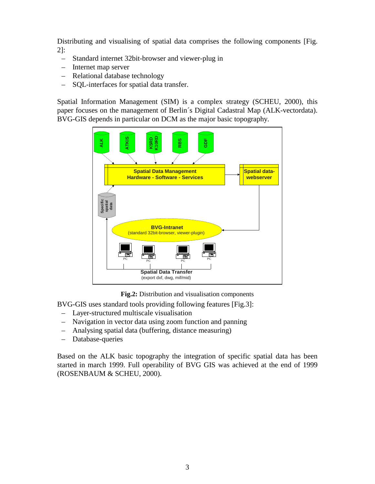Distributing and visualising of spatial data comprises the following components [Fig. 2]:

- Standard internet 32bit-browser and viewer-plug in
- Internet map server
- Relational database technology
- SQL-interfaces for spatial data transfer.

Spatial Information Management (SIM) is a complex strategy (SCHEU, 2000), this paper focuses on the management of Berlin´s Digital Cadastral Map (ALK-vectordata). BVG-GIS depends in particular on DCM as the major basic topography.



**Fig.2:** Distribution and visualisation components

BVG-GIS uses standard tools providing following features [Fig.3]:

- Layer-structured multiscale visualisation
- Navigation in vector data using zoom function and panning
- Analysing spatial data (buffering, distance measuring)
- Database-queries

Based on the ALK basic topography the integration of specific spatial data has been started in march 1999. Full operability of BVG GIS was achieved at the end of 1999 (ROSENBAUM & SCHEU, 2000).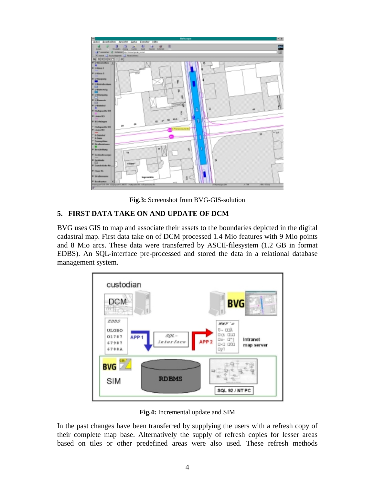

**Fig.3:** Screenshot from BVG-GIS-solution

## **5. FIRST DATA TAKE ON AND UPDATE OF DCM**

BVG uses GIS to map and associate their assets to the boundaries depicted in the digital cadastral map. First data take on of DCM processed 1.4 Mio features with 9 Mio points and 8 Mio arcs. These data were transferred by ASCII-filesystem (1.2 GB in format EDBS). An SQL-interface pre-processed and stored the data in a relational database management system.



**Fig.4:** Incremental update and SIM

In the past changes have been transferred by supplying the users with a refresh copy of their complete map base. Alternatively the supply of refresh copies for lesser areas based on tiles or other predefined areas were also used. These refresh methods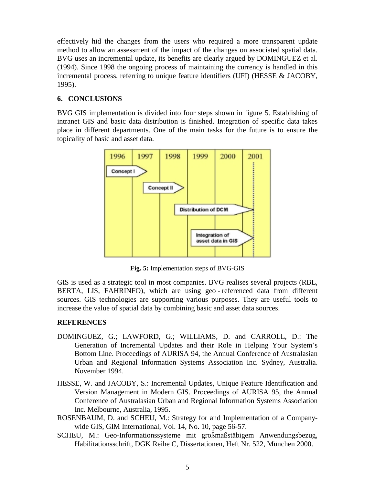effectively hid the changes from the users who required a more transparent update method to allow an assessment of the impact of the changes on associated spatial data. BVG uses an incremental update, its benefits are clearly argued by DOMINGUEZ et al. (1994). Since 1998 the ongoing process of maintaining the currency is handled in this incremental process, referring to unique feature identifiers (UFI) (HESSE & JACOBY, 1995).

### **6. CONCLUSIONS**

BVG GIS implementation is divided into four steps shown in figure 5. Establishing of intranet GIS and basic data distribution is finished. Integration of specific data takes place in different departments. One of the main tasks for the future is to ensure the topicality of basic and asset data.



**Fig. 5:** Implementation steps of BVG-GIS

GIS is used as a strategic tool in most companies. BVG realises several projects (RBL, BERTA, LIS, FAHRINFO), which are using geo - referenced data from different sources. GIS technologies are supporting various purposes. They are useful tools to increase the value of spatial data by combining basic and asset data sources.

## **REFERENCES**

- DOMINGUEZ, G.; LAWFORD, G.; WILLIAMS, D. and CARROLL, D.: The Generation of Incremental Updates and their Role in Helping Your System's Bottom Line. Proceedings of AURISA 94, the Annual Conference of Australasian Urban and Regional Information Systems Association Inc. Sydney, Australia. November 1994.
- HESSE, W. and JACOBY, S.: Incremental Updates, Unique Feature Identification and Version Management in Modern GIS. Proceedings of AURISA 95, the Annual Conference of Australasian Urban and Regional Information Systems Association Inc. Melbourne, Australia, 1995.
- ROSENBAUM, D. and SCHEU, M.: Strategy for and Implementation of a Companywide GIS, GIM International, Vol. 14, No. 10, page 56-57.
- SCHEU, M.: Geo-Informationssysteme mit großmaßstäbigem Anwendungsbezug, Habilitationsschrift, DGK Reihe C, Dissertationen, Heft Nr. 522, München 2000.